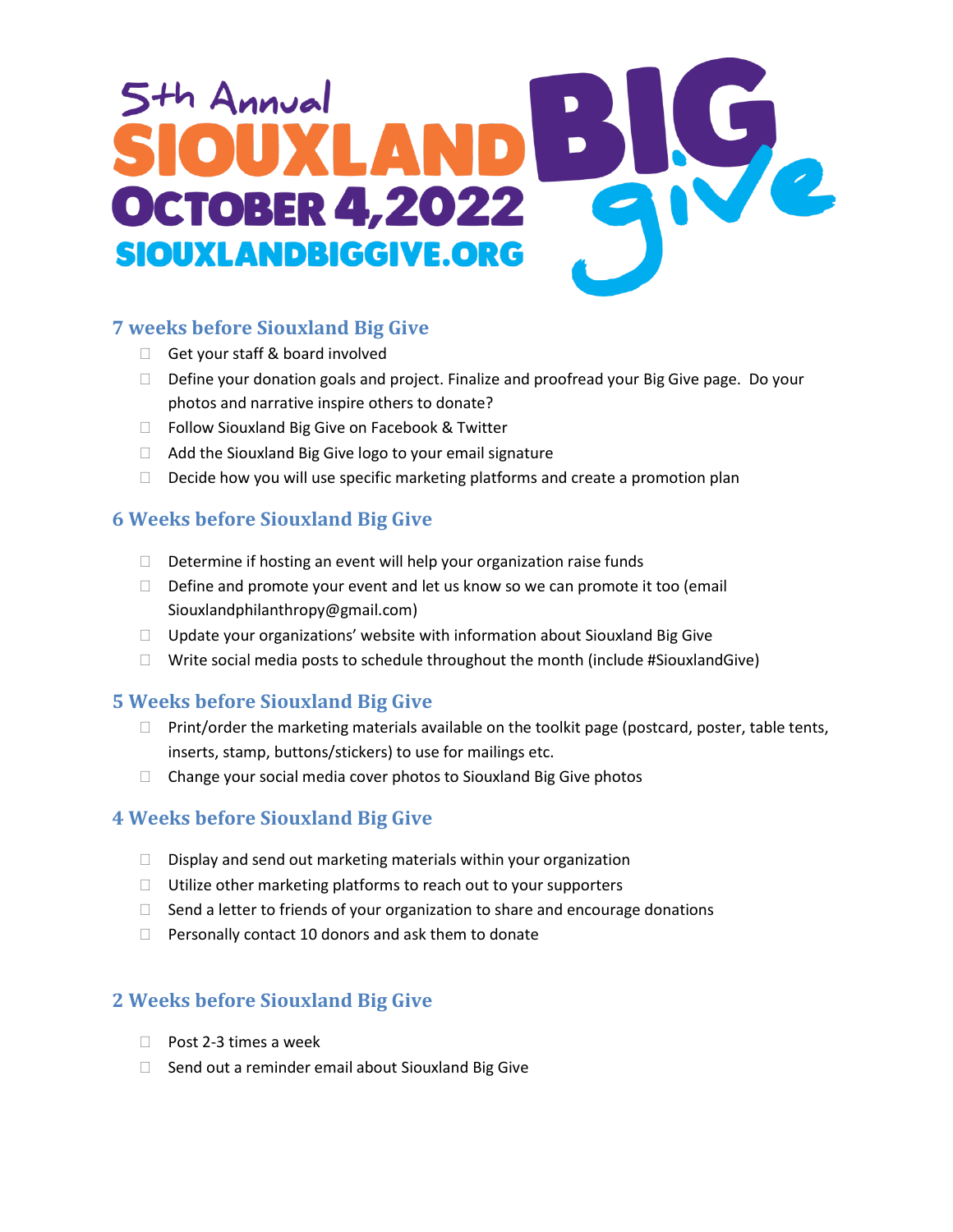# th Annual **DCTOBER 4,2022** SIOUXLANDBIGGIVE.ORG

## **7 weeks before Siouxland Big Give**

- Get your staff & board involved
- Define your donation goals and project. Finalize and proofread your Big Give page. Do your photos and narrative inspire others to donate?
- □ Follow Siouxland Big Give on Facebook & Twitter
- □ Add the Siouxland Big Give logo to your email signature
- $\Box$  Decide how you will use specific marketing platforms and create a promotion plan

# **6 Weeks before Siouxland Big Give**

- $\Box$  Determine if hosting an event will help your organization raise funds
- $\Box$  Define and promote your event and let us know so we can promote it too (email Siouxlandphilanthropy@gmail.com)
- □ Update your organizations' website with information about Siouxland Big Give
- $\Box$  Write social media posts to schedule throughout the month (include #SiouxlandGive)

#### **5 Weeks before Siouxland Big Give**

- $\Box$  Print/order the marketing materials available on the toolkit page (postcard, poster, table tents, inserts, stamp, buttons/stickers) to use for mailings etc.
- $\Box$  Change your social media cover photos to Siouxland Big Give photos

# **4 Weeks before Siouxland Big Give**

- $\Box$  Display and send out marketing materials within your organization
- $\Box$  Utilize other marketing platforms to reach out to your supporters
- $\Box$  Send a letter to friends of your organization to share and encourage donations
- $\Box$  Personally contact 10 donors and ask them to donate

# **2 Weeks before Siouxland Big Give**

- □ Post 2-3 times a week
- $\Box$  Send out a reminder email about Siouxland Big Give